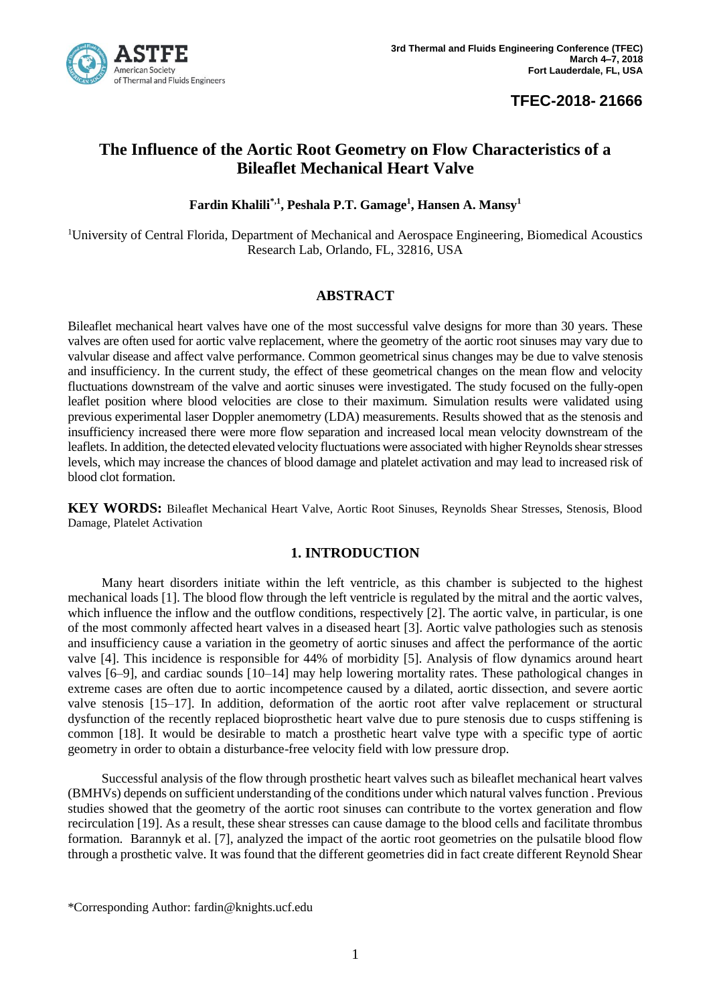

## **TFEC-2018- 21666**

# **The Influence of the Aortic Root Geometry on Flow Characteristics of a Bileaflet Mechanical Heart Valve**

**Fardin Khalili\*,1 , Peshala P.T. Gamage<sup>1</sup> , Hansen A. Mansy<sup>1</sup>**

<sup>1</sup>University of Central Florida, Department of Mechanical and Aerospace Engineering, Biomedical Acoustics Research Lab, Orlando, FL, 32816, USA

### **ABSTRACT**

Bileaflet mechanical heart valves have one of the most successful valve designs for more than 30 years. These valves are often used for aortic valve replacement, where the geometry of the aortic root sinuses may vary due to valvular disease and affect valve performance. Common geometrical sinus changes may be due to valve stenosis and insufficiency. In the current study, the effect of these geometrical changes on the mean flow and velocity fluctuations downstream of the valve and aortic sinuses were investigated. The study focused on the fully-open leaflet position where blood velocities are close to their maximum. Simulation results were validated using previous experimental laser Doppler anemometry (LDA) measurements. Results showed that as the stenosis and insufficiency increased there were more flow separation and increased local mean velocity downstream of the leaflets. In addition, the detected elevated velocity fluctuations were associated with higher Reynolds shear stresses levels, which may increase the chances of blood damage and platelet activation and may lead to increased risk of blood clot formation.

**KEY WORDS:** Bileaflet Mechanical Heart Valve, Aortic Root Sinuses, Reynolds Shear Stresses, Stenosis, Blood Damage, Platelet Activation

### **1. INTRODUCTION**

Many heart disorders initiate within the left ventricle, as this chamber is subjected to the highest mechanical loads [1]. The blood flow through the left ventricle is regulated by the mitral and the aortic valves, which influence the inflow and the outflow conditions, respectively [2]. The aortic valve, in particular, is one of the most commonly affected heart valves in a diseased heart [3]. Aortic valve pathologies such as stenosis and insufficiency cause a variation in the geometry of aortic sinuses and affect the performance of the aortic valve [4]. This incidence is responsible for 44% of morbidity [5]. Analysis of flow dynamics around heart valves [6–9], and cardiac sounds [10–14] may help lowering mortality rates. These pathological changes in extreme cases are often due to aortic incompetence caused by a dilated, aortic dissection, and severe aortic valve stenosis [15–17]. In addition, deformation of the aortic root after valve replacement or structural dysfunction of the recently replaced bioprosthetic heart valve due to pure stenosis due to cusps stiffening is common [18]. It would be desirable to match a prosthetic heart valve type with a specific type of aortic geometry in order to obtain a disturbance-free velocity field with low pressure drop.

Successful analysis of the flow through prosthetic heart valves such as bileaflet mechanical heart valves (BMHVs) depends on sufficient understanding of the conditions under which natural valves function . Previous studies showed that the geometry of the aortic root sinuses can contribute to the vortex generation and flow recirculation [19]. As a result, these shear stresses can cause damage to the blood cells and facilitate thrombus formation. Barannyk et al. [7], analyzed the impact of the aortic root geometries on the pulsatile blood flow through a prosthetic valve. It was found that the different geometries did in fact create different Reynold Shear

<sup>\*</sup>Corresponding Author: fardin@knights.ucf.edu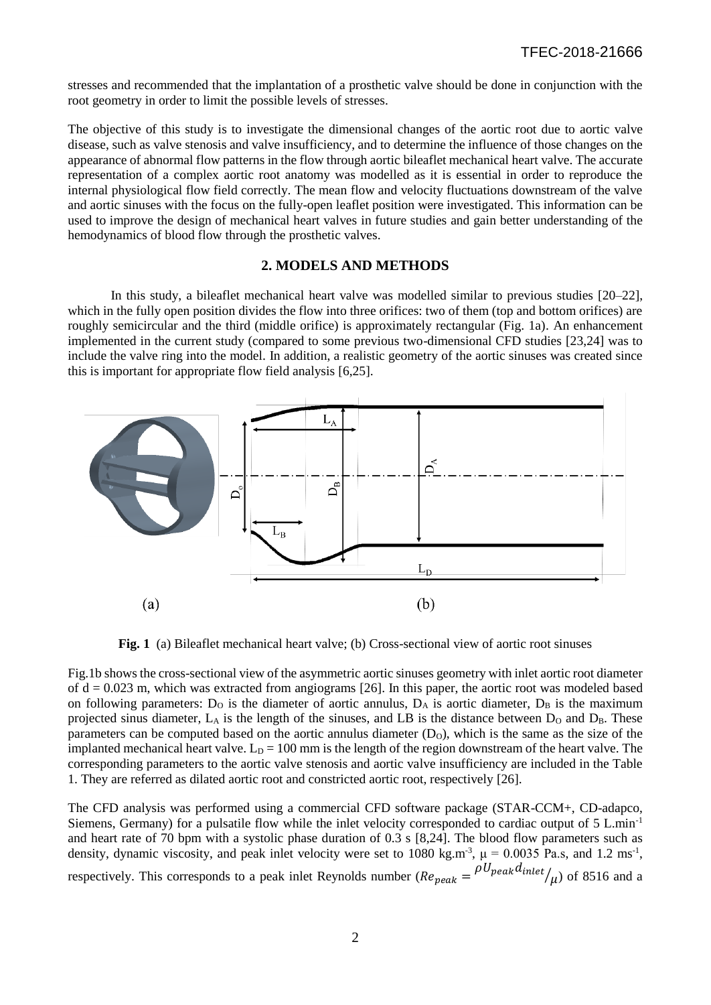stresses and recommended that the implantation of a prosthetic valve should be done in conjunction with the root geometry in order to limit the possible levels of stresses.

The objective of this study is to investigate the dimensional changes of the aortic root due to aortic valve disease, such as valve stenosis and valve insufficiency, and to determine the influence of those changes on the appearance of abnormal flow patterns in the flow through aortic bileaflet mechanical heart valve. The accurate representation of a complex aortic root anatomy was modelled as it is essential in order to reproduce the internal physiological flow field correctly. The mean flow and velocity fluctuations downstream of the valve and aortic sinuses with the focus on the fully-open leaflet position were investigated. This information can be used to improve the design of mechanical heart valves in future studies and gain better understanding of the hemodynamics of blood flow through the prosthetic valves.

#### **2. MODELS AND METHODS**

In this study, a bileaflet mechanical heart valve was modelled similar to previous studies [20–22], which in the fully open position divides the flow into three orifices: two of them (top and bottom orifices) are roughly semicircular and the third (middle orifice) is approximately rectangular (Fig. 1a). An enhancement implemented in the current study (compared to some previous two-dimensional CFD studies [23,24] was to include the valve ring into the model. In addition, a realistic geometry of the aortic sinuses was created since this is important for appropriate flow field analysis [6,25].



**Fig. 1** (a) Bileaflet mechanical heart valve; (b) Cross-sectional view of aortic root sinuses

Fig.1b shows the cross-sectional view of the asymmetric aortic sinuses geometry with inlet aortic root diameter of  $d = 0.023$  m, which was extracted from angiograms [26]. In this paper, the aortic root was modeled based on following parameters:  $D<sub>0</sub>$  is the diameter of aortic annulus,  $D<sub>A</sub>$  is aortic diameter,  $D<sub>B</sub>$  is the maximum projected sinus diameter,  $L_A$  is the length of the sinuses, and LB is the distance between  $D_O$  and  $D_B$ . These parameters can be computed based on the aortic annulus diameter  $(D<sub>O</sub>)$ , which is the same as the size of the implanted mechanical heart valve.  $L_D = 100$  mm is the length of the region downstream of the heart valve. The corresponding parameters to the aortic valve stenosis and aortic valve insufficiency are included in the Table 1. They are referred as dilated aortic root and constricted aortic root, respectively [26].

The CFD analysis was performed using a commercial CFD software package (STAR-CCM+, CD-adapco, Siemens, Germany) for a pulsatile flow while the inlet velocity corresponded to cardiac output of 5 L.min-1 and heart rate of 70 bpm with a systolic phase duration of 0.3 s [8,24]. The blood flow parameters such as density, dynamic viscosity, and peak inlet velocity were set to 1080 kg.m<sup>-3</sup>,  $\mu = 0.0035$  Pa.s, and 1.2 ms<sup>-1</sup>, respectively. This corresponds to a peak inlet Reynolds number ( $Re_{peak} = \frac{\rho U_{peak} d_{inlet}}{\mu}$ ) of 8516 and a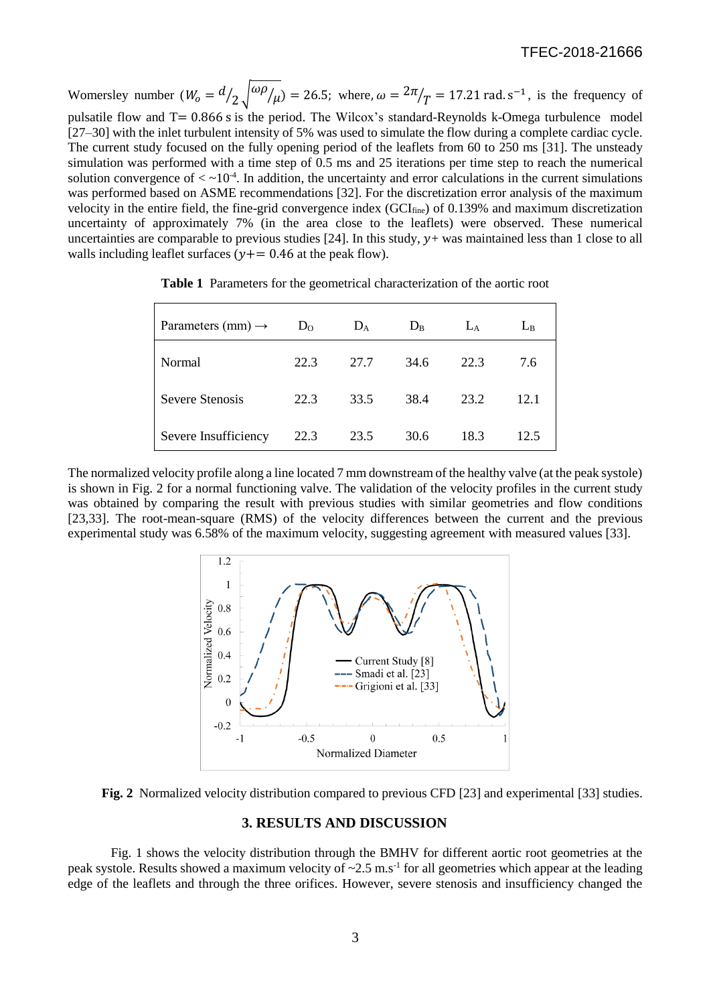#### TFEC-2018-21666

Womersley number  $(W_0 = d/2 \sqrt{\omega \rho/\mu}) = 26.5$ ; where,  $\omega = \frac{2\pi}{T} = 17.21$  rad. s<sup>-1</sup>, is the frequency of pulsatile flow and T= 0.866 s is the period. The Wilcox's standard-Reynolds k-Omega turbulence model [27–30] with the inlet turbulent intensity of 5% was used to simulate the flow during a complete cardiac cycle. The current study focused on the fully opening period of the leaflets from 60 to 250 ms [31]. The unsteady simulation was performed with a time step of 0.5 ms and 25 iterations per time step to reach the numerical solution convergence of  $\langle \sim 10^{-4}$ . In addition, the uncertainty and error calculations in the current simulations was performed based on ASME recommendations [32]. For the discretization error analysis of the maximum velocity in the entire field, the fine-grid convergence index (GCI<sub>fine</sub>) of 0.139% and maximum discretization uncertainty of approximately 7% (in the area close to the leaflets) were observed. These numerical uncertainties are comparable to previous studies [24]. In this study,  $y$ + was maintained less than 1 close to all walls including leaflet surfaces ( $y+=0.46$  at the peak flow).

| Parameters (mm) $\rightarrow$ | $D_{O}$ | $D_A$ | $D_{B}$ | $L_A$ | $L_{B}$ |
|-------------------------------|---------|-------|---------|-------|---------|
| Normal                        | 22.3    | 27.7  | 34.6    | 22.3  | 7.6     |
| Severe Stenosis               | 22.3    | 33.5  | 38.4    | 23.2  | 12.1    |
| Severe Insufficiency          | 22.3    | 23.5  | 30.6    | 18.3  | 12.5    |

**Table 1** Parameters for the geometrical characterization of the aortic root

The normalized velocity profile along a line located 7 mm downstream of the healthy valve (at the peak systole) is shown in Fig. 2 for a normal functioning valve. The validation of the velocity profiles in the current study was obtained by comparing the result with previous studies with similar geometries and flow conditions [23,33]. The root-mean-square (RMS) of the velocity differences between the current and the previous experimental study was 6.58% of the maximum velocity, suggesting agreement with measured values [33].



**Fig. 2** Normalized velocity distribution compared to previous CFD [23] and experimental [33] studies.

#### **3. RESULTS AND DISCUSSION**

Fig. 1 shows the velocity distribution through the BMHV for different aortic root geometries at the peak systole. Results showed a maximum velocity of  $\sim 2.5$  m.s<sup>-1</sup> for all geometries which appear at the leading edge of the leaflets and through the three orifices. However, severe stenosis and insufficiency changed the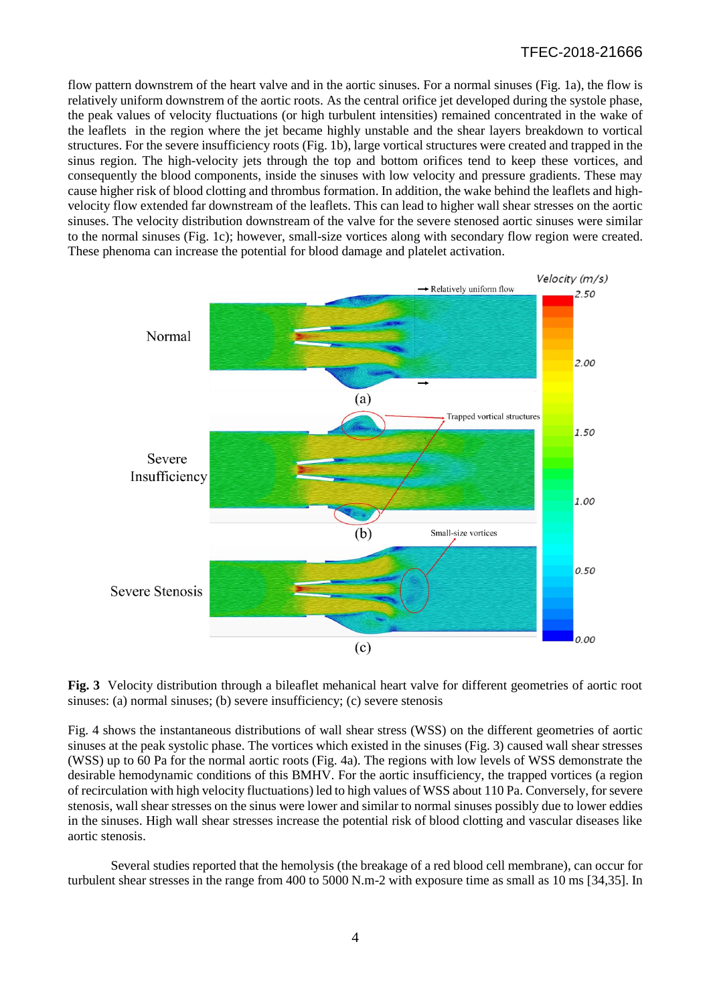flow pattern downstrem of the heart valve and in the aortic sinuses. For a normal sinuses (Fig. 1a), the flow is relatively uniform downstrem of the aortic roots. As the central orifice jet developed during the systole phase, the peak values of velocity fluctuations (or high turbulent intensities) remained concentrated in the wake of the leaflets in the region where the jet became highly unstable and the shear layers breakdown to vortical structures. For the severe insufficiency roots (Fig. 1b), large vortical structures were created and trapped in the sinus region. The high-velocity jets through the top and bottom orifices tend to keep these vortices, and consequently the blood components, inside the sinuses with low velocity and pressure gradients. These may cause higher risk of blood clotting and thrombus formation. In addition, the wake behind the leaflets and highvelocity flow extended far downstream of the leaflets. This can lead to higher wall shear stresses on the aortic sinuses. The velocity distribution downstream of the valve for the severe stenosed aortic sinuses were similar to the normal sinuses (Fig. 1c); however, small-size vortices along with secondary flow region were created. These phenoma can increase the potential for blood damage and platelet activation.



**Fig. 3** Velocity distribution through a bileaflet mehanical heart valve for different geometries of aortic root sinuses: (a) normal sinuses; (b) severe insufficiency; (c) severe stenosis

Fig. 4 shows the instantaneous distributions of wall shear stress (WSS) on the different geometries of aortic sinuses at the peak systolic phase. The vortices which existed in the sinuses (Fig. 3) caused wall shear stresses (WSS) up to 60 Pa for the normal aortic roots (Fig. 4a). The regions with low levels of WSS demonstrate the desirable hemodynamic conditions of this BMHV. For the aortic insufficiency, the trapped vortices (a region of recirculation with high velocity fluctuations) led to high values of WSS about 110 Pa. Conversely, for severe stenosis, wall shear stresses on the sinus were lower and similar to normal sinuses possibly due to lower eddies in the sinuses. High wall shear stresses increase the potential risk of blood clotting and vascular diseases like aortic stenosis.

Several studies reported that the hemolysis (the breakage of a red blood cell membrane), can occur for turbulent shear stresses in the range from 400 to 5000 N.m-2 with exposure time as small as 10 ms [34,35]. In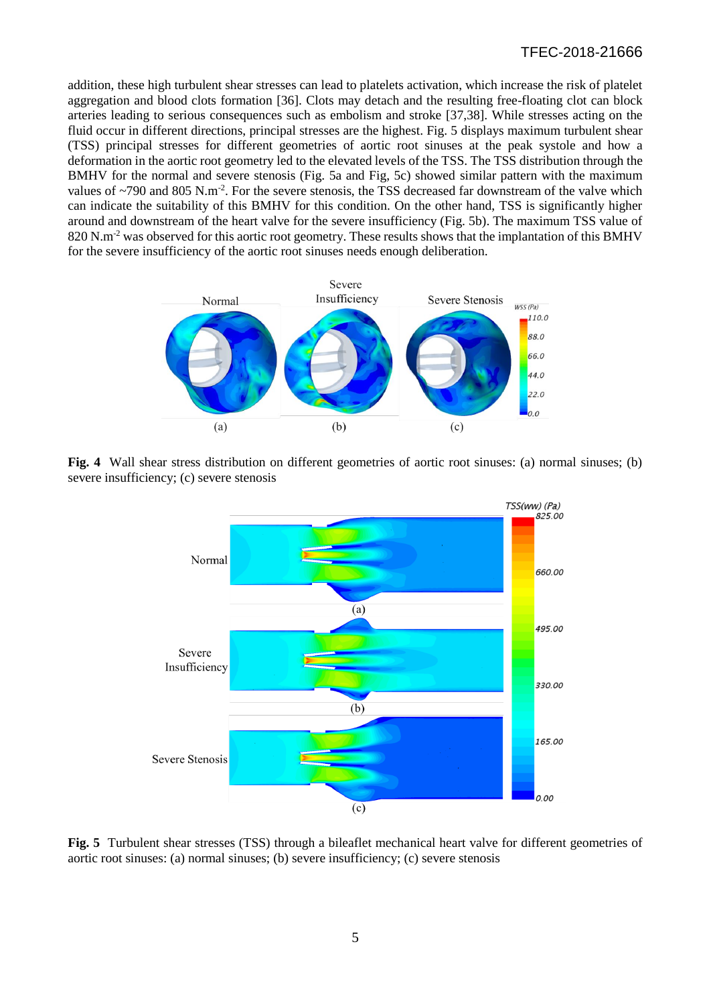addition, these high turbulent shear stresses can lead to platelets activation, which increase the risk of platelet aggregation and blood clots formation [36]. Clots may detach and the resulting free-floating clot can block arteries leading to serious consequences such as embolism and stroke [37,38]. While stresses acting on the fluid occur in different directions, principal stresses are the highest. Fig. 5 displays maximum turbulent shear (TSS) principal stresses for different geometries of aortic root sinuses at the peak systole and how a deformation in the aortic root geometry led to the elevated levels of the TSS. The TSS distribution through the BMHV for the normal and severe stenosis (Fig. 5a and Fig, 5c) showed similar pattern with the maximum values of  $\sim$ 790 and 805 N.m<sup>-2</sup>. For the severe stenosis, the TSS decreased far downstream of the valve which can indicate the suitability of this BMHV for this condition. On the other hand, TSS is significantly higher around and downstream of the heart valve for the severe insufficiency (Fig. 5b). The maximum TSS value of 820 N.m<sup>-2</sup> was observed for this aortic root geometry. These results shows that the implantation of this BMHV for the severe insufficiency of the aortic root sinuses needs enough deliberation.



**Fig. 4** Wall shear stress distribution on different geometries of aortic root sinuses: (a) normal sinuses; (b) severe insufficiency; (c) severe stenosis



**Fig. 5** Turbulent shear stresses (TSS) through a bileaflet mechanical heart valve for different geometries of aortic root sinuses: (a) normal sinuses; (b) severe insufficiency; (c) severe stenosis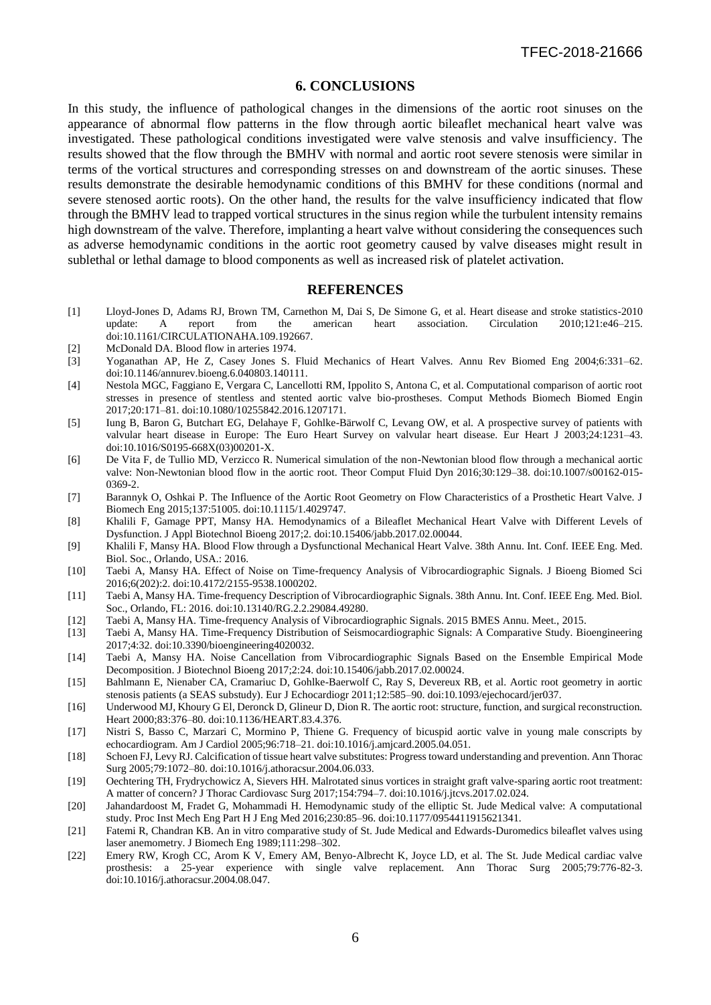#### **6. CONCLUSIONS**

In this study, the influence of pathological changes in the dimensions of the aortic root sinuses on the appearance of abnormal flow patterns in the flow through aortic bileaflet mechanical heart valve was investigated. These pathological conditions investigated were valve stenosis and valve insufficiency. The results showed that the flow through the BMHV with normal and aortic root severe stenosis were similar in terms of the vortical structures and corresponding stresses on and downstream of the aortic sinuses. These results demonstrate the desirable hemodynamic conditions of this BMHV for these conditions (normal and severe stenosed aortic roots). On the other hand, the results for the valve insufficiency indicated that flow through the BMHV lead to trapped vortical structures in the sinus region while the turbulent intensity remains high downstream of the valve. Therefore, implanting a heart valve without considering the consequences such as adverse hemodynamic conditions in the aortic root geometry caused by valve diseases might result in sublethal or lethal damage to blood components as well as increased risk of platelet activation.

#### **REFERENCES**

- [1] Lloyd-Jones D, Adams RJ, Brown TM, Carnethon M, Dai S, De Simone G, et al. Heart disease and stroke statistics-2010 update: A report from the american heart association. Circulation 2010;121:e46–215. doi:10.1161/CIRCULATIONAHA.109.192667.
- [2] McDonald DA. Blood flow in arteries 1974.
- [3] Yoganathan AP, He Z, Casey Jones S. Fluid Mechanics of Heart Valves. Annu Rev Biomed Eng 2004;6:331–62. doi:10.1146/annurev.bioeng.6.040803.140111.
- [4] Nestola MGC, Faggiano E, Vergara C, Lancellotti RM, Ippolito S, Antona C, et al. Computational comparison of aortic root stresses in presence of stentless and stented aortic valve bio-prostheses. Comput Methods Biomech Biomed Engin 2017;20:171–81. doi:10.1080/10255842.2016.1207171.
- [5] Iung B, Baron G, Butchart EG, Delahaye F, Gohlke-Bärwolf C, Levang OW, et al. A prospective survey of patients with valvular heart disease in Europe: The Euro Heart Survey on valvular heart disease. Eur Heart J 2003;24:1231–43. doi:10.1016/S0195-668X(03)00201-X.
- [6] De Vita F, de Tullio MD, Verzicco R. Numerical simulation of the non-Newtonian blood flow through a mechanical aortic valve: Non-Newtonian blood flow in the aortic root. Theor Comput Fluid Dyn 2016;30:129–38. doi:10.1007/s00162-015- 0369-2.
- [7] Barannyk O, Oshkai P. The Influence of the Aortic Root Geometry on Flow Characteristics of a Prosthetic Heart Valve. J Biomech Eng 2015;137:51005. doi:10.1115/1.4029747.
- [8] Khalili F, Gamage PPT, Mansy HA. Hemodynamics of a Bileaflet Mechanical Heart Valve with Different Levels of Dysfunction. J Appl Biotechnol Bioeng 2017;2. doi:10.15406/jabb.2017.02.00044.
- [9] Khalili F, Mansy HA. Blood Flow through a Dysfunctional Mechanical Heart Valve. 38th Annu. Int. Conf. IEEE Eng. Med. Biol. Soc., Orlando, USA.: 2016.
- [10] Taebi A, Mansy HA. Effect of Noise on Time-frequency Analysis of Vibrocardiographic Signals. J Bioeng Biomed Sci 2016;6(202):2. doi:10.4172/2155-9538.1000202.
- [11] Taebi A, Mansy HA. Time-frequency Description of Vibrocardiographic Signals. 38th Annu. Int. Conf. IEEE Eng. Med. Biol. Soc., Orlando, FL: 2016. doi:10.13140/RG.2.2.29084.49280.
- [12] Taebi A, Mansy HA. Time-frequency Analysis of Vibrocardiographic Signals. 2015 BMES Annu. Meet., 2015.
- [13] Taebi A, Mansy HA. Time-Frequency Distribution of Seismocardiographic Signals: A Comparative Study. Bioengineering 2017;4:32. doi:10.3390/bioengineering4020032.
- [14] Taebi A, Mansy HA. Noise Cancellation from Vibrocardiographic Signals Based on the Ensemble Empirical Mode Decomposition. J Biotechnol Bioeng 2017;2:24. doi:10.15406/jabb.2017.02.00024.
- [15] Bahlmann E, Nienaber CA, Cramariuc D, Gohlke-Baerwolf C, Ray S, Devereux RB, et al. Aortic root geometry in aortic stenosis patients (a SEAS substudy). Eur J Echocardiogr 2011;12:585–90. doi:10.1093/ejechocard/jer037.
- [16] Underwood MJ, Khoury G El, Deronck D, Glineur D, Dion R. The aortic root: structure, function, and surgical reconstruction. Heart 2000;83:376–80. doi:10.1136/HEART.83.4.376.
- [17] Nistri S, Basso C, Marzari C, Mormino P, Thiene G. Frequency of bicuspid aortic valve in young male conscripts by echocardiogram. Am J Cardiol 2005;96:718–21. doi:10.1016/j.amjcard.2005.04.051.
- [18] Schoen FJ, Levy RJ. Calcification of tissue heart valve substitutes: Progress toward understanding and prevention. Ann Thorac Surg 2005;79:1072–80. doi:10.1016/j.athoracsur.2004.06.033.
- [19] Oechtering TH, Frydrychowicz A, Sievers HH. Malrotated sinus vortices in straight graft valve-sparing aortic root treatment: A matter of concern? J Thorac Cardiovasc Surg 2017;154:794–7. doi:10.1016/j.jtcvs.2017.02.024.
- [20] Jahandardoost M, Fradet G, Mohammadi H. Hemodynamic study of the elliptic St. Jude Medical valve: A computational study. Proc Inst Mech Eng Part H J Eng Med 2016;230:85–96. doi:10.1177/0954411915621341.
- [21] Fatemi R, Chandran KB. An in vitro comparative study of St. Jude Medical and Edwards-Duromedics bileaflet valves using laser anemometry. J Biomech Eng 1989;111:298–302.
- [22] Emery RW, Krogh CC, Arom K V, Emery AM, Benyo-Albrecht K, Joyce LD, et al. The St. Jude Medical cardiac valve prosthesis: a 25-year experience with single valve replacement. Ann Thorac Surg 2005;79:776-82-3. doi:10.1016/j.athoracsur.2004.08.047.